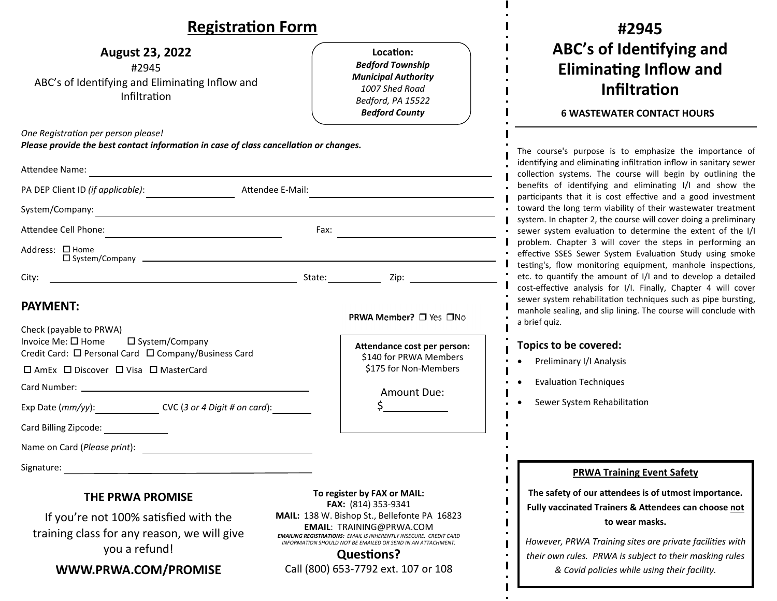### **RegistraƟon Form**

| <b>August 23, 2022</b><br>#2945<br>ABC's of Identifying and Eliminating Inflow and<br>Infiltration                                                                                                                                                                                                                                                                                                                              | Location:<br><b>Bedford Township</b><br><b>Municipal Authority</b><br>1007 Shed Road<br>Bedford, PA 15522<br><b>Bedford County</b>                                                                                                                                                                    |
|---------------------------------------------------------------------------------------------------------------------------------------------------------------------------------------------------------------------------------------------------------------------------------------------------------------------------------------------------------------------------------------------------------------------------------|-------------------------------------------------------------------------------------------------------------------------------------------------------------------------------------------------------------------------------------------------------------------------------------------------------|
| One Registration per person please!<br>Please provide the best contact information in case of class cancellation or changes.                                                                                                                                                                                                                                                                                                    |                                                                                                                                                                                                                                                                                                       |
| Attendee Name:<br><u> 1989 - Andrea Stadt British, fransk politik (d. 1989)</u>                                                                                                                                                                                                                                                                                                                                                 |                                                                                                                                                                                                                                                                                                       |
| PA DEP Client ID <i>(if applicable)</i> : ____________________                                                                                                                                                                                                                                                                                                                                                                  | Attendee E-Mail:                                                                                                                                                                                                                                                                                      |
|                                                                                                                                                                                                                                                                                                                                                                                                                                 |                                                                                                                                                                                                                                                                                                       |
|                                                                                                                                                                                                                                                                                                                                                                                                                                 | Fax: $\qquad \qquad$                                                                                                                                                                                                                                                                                  |
| Address: □ Home                                                                                                                                                                                                                                                                                                                                                                                                                 | $\square$ System/Company $\square$                                                                                                                                                                                                                                                                    |
| City:                                                                                                                                                                                                                                                                                                                                                                                                                           |                                                                                                                                                                                                                                                                                                       |
| <b>PAYMENT:</b><br>Check (payable to PRWA)<br>Invoice Me: $\square$ Home $\square$ System/Company<br>Credit Card: □ Personal Card □ Company/Business Card<br>□ AmEx □ Discover □ Visa □ MasterCard<br>Exp Date $(mm/yy)$ : _____________________ CVC (3 or 4 Digit # on card): __________<br>Card Billing Zipcode: Card Billing 21<br>Name on Card ( <i>Please print</i> ): Name on Card ( <i>Please print</i> ):<br>Signature: | <b>PRWA Member?</b> □ Yes □No<br>Attendance cost per person:<br>\$140 for PRWA Members<br>\$175 for Non-Members<br>Amount Due:<br>$\zeta$ and $\zeta$                                                                                                                                                 |
| <b>THE PRWA PROMISE</b><br>If you're not 100% satisfied with the<br>training class for any reason, we will give<br>you a refund!                                                                                                                                                                                                                                                                                                | To register by FAX or MAIL:<br>FAX: (814) 353-9341<br>MAIL: 138 W. Bishop St., Bellefonte PA 16823<br><b>EMAIL: TRAINING@PRWA.COM</b><br><b>EMAILING REGISTRATIONS: EMAIL IS INHERENTLY INSECURE. CREDIT CARD</b><br>INFORMATION SHOULD NOT BE EMAILED OR SEND IN AN ATTACHMENT.<br><b>Questions?</b> |
| WWW.PRWA.COM/PROMISE                                                                                                                                                                                                                                                                                                                                                                                                            | Call (800) 653-7792 ext. 107 or 108                                                                                                                                                                                                                                                                   |
|                                                                                                                                                                                                                                                                                                                                                                                                                                 |                                                                                                                                                                                                                                                                                                       |

## **#2945ABC's of IdenƟfying and EliminaƟng Inflow and InfiltraƟon**

#### **6 WASTEWATER CONTACT HOURS**

course's purpose is to emphasize the importance of ntifying and eliminating infiltration inflow in sanitary sewer ection systems. The course will begin by outlining the efits of identifying and eliminating I/I and show the ticipants that it is cost effective and a good investment vard the long term viability of their wastewater treatment tem. In chapter 2, the course will cover doing a preliminary ver system evaluation to determine the extent of the I/I blem. Chapter 3 will cover the steps in performing an ective SSES Sewer System Evaluation Study using smoke ting's, flow monitoring equipment, manhole inspections, to quantify the amount of  $I/I$  and to develop a detailed t-effective analysis for I/I. Finally, Chapter 4 will cover er system rehabilitation techniques such as pipe bursting, nhole sealing, and slip lining. The course will conclude with rief quiz.

#### **Topics to be covered:**

- Preliminary I/I Analysis
- EvaluaƟon Techniques
- Sewer System Rehabilitation

#### **PRWA Training Event Safety**

**The safety of our <sup>a</sup>Ʃendees is of utmost importance. Fully vaccinated Trainers & AƩendees can choose not to wear masks.**

*However, PRWA Training sites are private faciliƟes with their own rules. PRWA is subject to their masking rules & Covid policies while using their facility.*